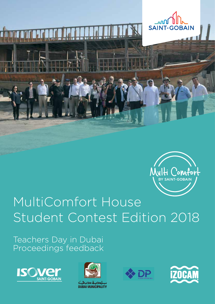



# MultiComfort House Student Contest Edition 2018

Teachers Day in Dubai Proceedings feedback





لديبة ديجيك **DUBAI MUNICIPALITY** 



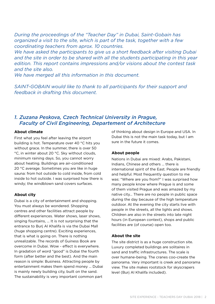*During the proceedings of the "Teacher Day" in Dubai, Saint-Gobain has organized a visit to the site, which is part of the task, together with a few coordinating teachers from aprox. 10 countries.*

*We have asked the participants to give us a short feedback after visiting Dubai and the site in order to be shared with all the students participating in this year edition. This report contains impressions and/or visions about the contest task and the site also.*

*We have merged all this information in this document.*

*SAINT-GOBAIN would like to thank to all participants for their support and feedback in drafting this document.*

# *1. Zuzana Peskova, Czech Technical University in Prague, Faculty of Civil Engineering, Departement of Architecture*

## **About climate**

First what you feel after leaving the airport building is hot. Temperature over 40 °C hits you without grace. In the summer, there is over 50 °C, in winter about 20 °C. Sky without clouds, minimum raining days. So, you cannot worry about heating. Buildings are air-conditioned 20 °C average. Sometimes you are like in huge sauna: from hot outside to cold inside, from cold inside to hot outside. I was surprised how there is windy; the windblown sand covers surfaces.

## **About city**

Dubai is a city of entertainment and shopping. You must always be wondered. Shopping centres and other facilities attract people by different experiences. Water shows, laser shows, singing fountains, ... It is not surprising that the entrance to Burj Al Khalifa is via the Dubai Mall (huge shopping centre). Exciting experiences, that is what is going on. There is nothing unrealizable. The records of Guiness Book are overcome in Dubai. Wow - effect is everywhere. In gradation of word "good" is Dubai the fourth form (after better and the best). And the main reason is simple: Business. Attracting people by entertainment makes them spend money … Dubai is mainly newly building city, built on the sand. The sustainability is very important common part

of thinking about design in Europe and USA. In Dubai this is not the main task today, but I am sure in the future it comes.

## **About people**

Nations in Dubai are mixed: Arabs, Pakistani, Indians, Chinese and others … there is international spirit of the East. People are friendly and helpful. Most frequently question to me was: "Where are you from?" I was surprised how many people know where Prague is and some of them visited Prague and was amazed by my native city… There are no people in public space during the day because of the high temperature outdoor. At the evening the city starts live with people in the streets, all the lights and shows. Children are also in the streets into late night hours (in European context), shops and public facilities are (of course) open too.

## **About the site**

The site district is as a huge construction site. Luxury completed buildings are solitaires in sand and traffic infrastructures. The scale is over humane-being. The cranes coo-create the panorama. Very important is creek and panorama view. The site makes rootstock for skyscrapers level (Burj Al Khalifa included).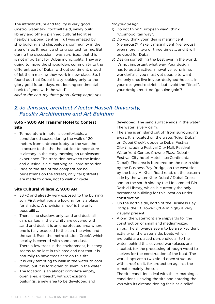The infrastructure and facility is very good (metro, water taxi, football field, newly build library and others planned cultural facilities, nearby shopping centres …). I was amazed by ship building and shipbuilders community in the area of site. It meant a strong context for me. But during the discussion I was surprised, that this is not important for Dubai municipality. They are going to move the shipbuilders community to the different part of Dubai without sentiment, proud of let them making they work in new place. So, I found out that Dubai is city looking only to the glory gold future days, not looking sentimental back to "gone with the wind".

*And at the end, my three good (firmly hope) tips* 

#### *for your design*

- 1) Do not think "European way", think "Cosmopolitan way".
- 2) Do you think your idea is magnificent (generous)? Make it magnificent (generous) even more ... two or three times … and it will be good for Dubai.
- 3) Design something the best ever in the world... it's not important what way. Your design has to be attractive, innovative, surprising, wonderful ... you must get people to want the only one: live in your-designed-houses, in your-designed-district … but avoid the "tinsel", your design must be "genuine gold"!

# *2.Jo Janssen, architect / lector Hasselt University, Faculty Architecture and Art Belgium*

## **8.45 - 9.00 AM Transfer Hotel to Contest Site**

- Temperature in hotel is comfortable, a conditioned space; during the walk of 20 meters from entrance lobby to the van, the exposure to the the the outside temperature is already in the early morning an unpleasant experience. The transition between the inside and outside is a climatological 'hard transition'.
- Ride to the site of the competition: no pedestrians on the streets, only cars; streets are made to drive, not to walk or cycle.

## **Site Cultural Village 2, 9.00 A**M

- 33 ºC and already very exposed to the burning sun. First what you are looking for is a place for shadow. A provisional roof is the only possibility..
- There is no shadow, only sand and dust; all cars parked in the vicinity are covered with sand and dust: it is an unprotected area where one is fully exposed to the sun, the wind and the sand. Even the metro station 'Creek', which nearby is covered with sand and dust.
- There a few trees in the environment, but they seems to be lost in this area and not that it is naturally to have trees here on this site.
- It is very tempting to walk in the water to cool down, but it is forbidden to swim in the water.
- The location is an almost complete empty, open area, a 'beach', without existing buildings, a new area to be developed and

developed. The sand surface ends in the water. The water is very calm.

- The area is an island cut off from surrounding areas, It is located on the water, 'Khor Dubai' or 'Dubai Creek', opposite Dubai Festival City (including Festival City Mall, Festival Waterfront Center, Crowne Plaza Dubai - Festival City hotel, Hotel InterContinental Dubai). The area is bordered on the north side by the Business Bay Bridge, on the west side by the busy Al Khail Road road, on the eastern side by the water Khor Dubai / Dubai Creek, and on the south side by the Mohammed Bin Rashid Library, which is currently the only permanent building for this location under construction.
- On the north side, north of the Business Bay Bridge, the 'D1 Tower' (284 m high) is very visually present.
- Along the waterfront are shipyards for the construction of small and medium-sized ships. The shipyards seem to be a self-evident activity on the water side: boats which are build are placed perpendicular to the water, behind this covered workplaces are situated, for the processing of rough wood to shelves for the construction of the boat. The workshops are a two-sided open structure with a roof on it, for protection against the climate, mainly the sun.
- The site conditions deal with the climatological conditions. Leaving the site and entering the van with its airconditioning feels as a relief.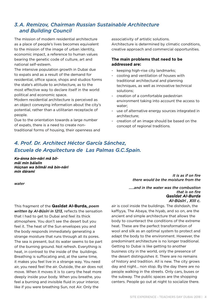# *3.A. Remizov, Chairman Russian Sustainable Architecture and Building Council*

The mission of modern residential architecture as a place of people's lives becomes equivalent to the mission of the image of urban identity, economic impact, a reference to human values bearing the genetic code of culture, art and national self-esteem.

The intensive population growth in Dubai due to expats and as a result of the demand for residential, office space, shops and studios forms the state's attitude to architecture, as to the most effective way to declare itself in the world political and economic space.

Modern residential architecture is perceived as an object conveying information about the city's potential, rather than a utilitarian receptacle of people.

Due to the orientation towards a large number of expats, there is a need to create nontraditional forms of housing, their openness and associativity of artistic solutions. Architecture is determined by climatic conditions, creative approach and commercial opportunities.

## **The main problems that need to be addressed are:**

- keeping high-rise city landmarks;
- cooling and ventilation of houses with traditional architectural and planning techniques, as well as innovative technical solutions;
- creation of a comfortable pedestrian environment taking into account the access to water;
- use of alternative energy sources integrated in architecture;
- creation of an image should be based on the concept of regional traditions.

# *4. Prof. Dr. Architect Héctor García Sánchez, Escuela de Arquitectura de Las Palmas G.C.Spain.*

*Ka-ánna bin-nâri mâ bilmâi min bálalin Húçnan wa bilmâi mâ bin-nâri min dárami*

*water*

This fragment of the **Qasîdat Al-Burda,** *poem written by Al-Bûsîri in 1213,* reflects the sensation that I had to get to Dubai and feel its thick atmosphere. You don't see the desert but you feel it. The heat of the Sun envelopes you and the body responds immediately generating a strange moisture that runs through all its pores. The sea is present, but its water seems to be part of the burning ground. Not refresh. Everything is heat, in contrast to the inside of the buildings. Breathing is suffocating and, at the same time, it makes you feel live in a strange way. You need air, you need feel the air. Outside, the air does not move. When it moves it is to carry the heat more deeply inside your body. When you breathe, you feel a burning and invisible fluid in your interior, like if you were breathing Sun, not Air. Only the

*It is as if on fire there would be the moisture from the*

*Qasîdat Al-Burda Al-Bûsîri , XIII c. …..and in the water was the combustion that is on fire*

air is cool inside the buildings. The dishdash, the kaffiyya, The Abaya, the hiyab, and so on, are the ancient and simple architecture that allows the body to counteract the conditions of the extreme heat. These are the perfect transformation of wool and silk as an optimal system to protect and adapt the body to the environment. However, the predominant architecture is no longer traditional. Getting to Dubai is like getting to another business city in the world, only the presence of the desert distinguishes it. There are no remains of history and tradition. All is new. The city grows day and night… non stop. By the day there are no people walking in the streets. Only cars, buses or the subway. The public spaces are the shopping centers. People go out at night to socialize there.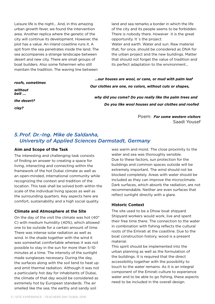Leisure life is the night… And, in this amazing urban growth fever, we found the intervention area. Another replica where the genetic of the city will continue its development. However, the plot has a value. An inland coastline runs it. A spit from the sea penetrates inside the land. The sea accompanies a strange landscape between desert and new city. There are small groups of boat builders. Also some fishermen who still maintain the tradition. The waving line between

land and sea remarks a border in which the life of the city and its people seems to be forbidden. There is nobody there. However it is the great opportunity. It´s the project. Water and earth. Water and sun. Raw material that, for once, should be considered as DNA for the urban project and the new buildings. Matter

that should not forget the value of tradition and its perfect adaptation to the environment...

*roofs, sometimes without belt ...*

*the desert?* 

*clay?*

 *…our houses are wool, or cane, or mud with palm leaf Our clothes are one, no colors, without cuts or shapes,* 

 *why did you come? Do you really like the palm trees and Do you like wool houses and our clothes and roofed* 

> Poem: *For some western visitors* Saadi Yousef

# *5.Prof. Dr.-Ing. Mike de Saldanha, University of Applied Sciences Darmstadt, Germany*

### **Aim and Scope of the Task**

The interesting and challenging task consists of finding an answer to creating a space for living, interacting and connecting within the framework of the hot Dubai climate as well as an open-minded, international community while recognizing the context and tradition of the location. This task shall be solved both within the scale of the individual living spaces as well as the surrounding quarters. Key aspects here are comfort, sustainability and a high social quality.

## **Climate and Atmosphere at the Site**

On the day of the visit the climate was hot (40° C) with medium humidity (40%), which allowed one to be outside for a certain amount of time. There was intense solar radiation as well as wind. In the shade together with the wind it was somewhat comfortable whereas it was not possible to stay in the sun for more than 5–10 minutes at a time. The intensity of the sunlight made sunglasses necessary. During the day, the surfaces along with the soil tend to heat up and emit thermal radiation. Although it was not a particularly hot day for inhabitants of Dubai, the climate of that day would be considered as extremely hot by European standards. The air smelled like the sea; the earthy and sandy soil

was warm and moist. The close proximity to the water and sea was thoroughly sensible. Due to these factors, sun protection for the buildings and common spaces outside will be extremely important. The wind should not be blocked completely. Areas with water should be included as they can improve the microclimate. Dark surfaces, which absorb the radiation, are not recommendable. Neither are even surfaces that reflect sunlight directly with a glare.

## **Historic Context**

The site used to be a Dhow boat shipyard. Shipyard workers would work, live and spent their free time there. The connection to the water in combination with fishing reflects the cultural roots of the Emirati at the coastline. Due to the boat construction history, wood is a present material.

This spirit should be implemented into the urban planning as well as the formulation of the buildings. It is required that the direct accessibility together with the possibility to touch to the water remains. As it is an integral component of the Emirati culture to experience water and to be able to go fishing, these aspects need to be included in the overall design.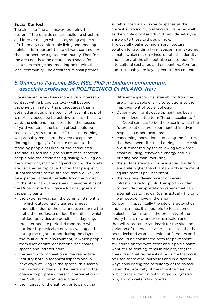## **Social Context**

The aim is to find an answer regarding the design of the outside spaces, building structure and interior design while integrating aspects of (thermally) comfortable living and meeting points. It is important that a vibrant community shall not become a gated community. Therefore, the area needs to be created as a space for cultural exchange and meeting point with the local community. The architecture shall provide

suitable interior and exterior spaces as the current surrounding building structures as well as the whole city itself do not provide satisfying answers to these tasks as of now. The overall goal is to find an architectural solution to providing living spaces in an extreme climate, which not only incorporate the identity and history of the site, but also create room for intercultural exchange and encounters. Comfort and sustainably are key aspects in this context.

# *6.Giancarlo Paganin, BSc, MSc, PhD in building engineering, associate professor at POLITECNICO DI MILANO\_Italy*

Site experience has been more a very interesting contact with a broad context (well beyond the physical limits of the project area) than a detailed analysis of a specific lot; even if the plot is partially occupied by existing assets – the ship yard, the ship under construction, the houses of yard workers – the task in effect could be seen as a "grass root project" because nothing will probably remain on the area except the "intangible legacy" of the site related to the use made by people of Dubai of the actual area. The site is used mainly as an interface between people and the creek: fishing, sailing, walking on the waterfront, maintaining and storing the boats are declared as typical activities that people in Dubai associate to the site and that are likely to be expected, at least partially, from the project. On the other hand, the general characteristics of the Dubai context will give a lot of suggestion to the participants

- the extreme weather: the summer, 3 months in which outdoor activities are almost impossible during the day and even during the night; the moderate period, 5 months in which outdoor activities are possible all day long; the intermediate period, 4 months in which outdoor is practicable only at evening and during the night but not during the daytime;
- the multicultural environment, in which people from a lot of different nationalities shares spaces and infrastructure;
- the search for innovation in the real estate industry both in technical aspects and in new ways of living in the spaces: this search for innovation may give the participants the chance to propose different interpretation of the "cultural village" project task;
- the interest of the authorities towards the

different aspects of sustainability, from the use of renewable energy to solutions to the improvement of social cohesion;

- Dubai vision for its development has been summarized in the term "future accelerator", i.e. Dubai expects to be the place in which the future solutions are experimented in advance respect to other locations;
- concerning innovation in building the factors that have been discussed during the site visit are summarized by the following keywords: smart building, renewable energy and 3D printing and manufacturing;
- the surface standard for residential building are quite higher than EU standards in terms of square meters per inhabitant;
- the on going development of several infrastructure for public transport in order to provide transportation systems that can alternatives to the car (car is actually the only way people move in the area).

Concerning specifically the site characteristics and constraints, it is possible to focus some subject as, for instance: the proximity of the library that is now under construction and that will represent a landmark for the site; the variation of the creek level due to a tide that has been declared as an excursion of 2 meters and this could be considered both for permanent structures on the waterfront and if participants want to use floating items in the projetc ; the creek itself that represents a resource that could be used for several purposes and in different ways considering the peculiarity of the salted water; the proximity of the infrastructure for public transportation both on ground (metro, bus) and on water (taxi boats).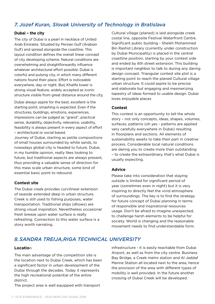# *7. Jozef Kuran, Slovak University of Technology in Bratislava*

#### **Dubai – the city**

The city of Dubai is a pearl in necklace of United Arab Emirates. Situated by Persian Gulf (Arabian Gulf) and spread alongside the coastline. This layout condition defines the overall linear concept of city developing scheme. Natural conditions are overwhelming and straightforwardly influence whatever architectural effort possible. Dubai is colorful and pulsing city, in which many different nations found their place. Effort is noticeable everywhere, day or night. Burj Khalifa tower is strong visual feature, widely accepted as iconic structure visible from great distance around the city.

Dubai always aspire for the best, excellent is the starting point, smashing is expected. Even if the structures, buildings, emotions, experiences, impressions can be judged as "grand", practical sense, durability, objectivity, relevance, usability, feasibility is always present in every aspect of effort – architectural or social based.

Journey of Dubai, starting as petite compositions of small houses surrounded by white sands, to nowadays global city is headed to future. Dubai, in my humble opinion, really likes looking to future, but traditional aspects are always present, thus providing a valuable sense of direction for this mass scale urban structure, some kind of essential basic point to rebound.

### **Contest site**

The Dubai creek provides curvilinear extension of seaside extended deep in urban structure. Creek is still used to fishing purposes, water transportation. Traditional ships (dhows) are strong visual inspiration. Nevertheless occasional fresh breeze upon water surface is really refreshing. Connection to this water surface is a story worth narrating.

Cultural village (planed) is laid alongside creek costal line, opposite Festival Waterfront Centre. Significant public building - Sheikh Mohammed Bin Rashid Library (currently under construction by Dubai Municipality) is placed in the central coastline position, starting by your contest side and ended by 6th street extension. This building is important neighbor to talk to during any daring design concept. Triangular contest site plot is a starting point to reach the planed Cultural village urban structure. It could aspire to be precise and elaborate but engaging and mesmerizing tapestry of ideas formed to usable design. Dubai loves enjoyable places

#### **Contest**

This contest is an opportunity to tell the whole story – not only concepts, ideas, shapes, volumes, surfaces, patterns (oh yes - patterns are applied very carefully everywhere in Dubai) resulting in floorplans and sections. All elements of sustainability awaits to take their part in creative process. Considerable local natural conditions are daring you to create more than outstanding – to create the extraordinary, that's what Dubai is usually expecting.

### **Advice**

Please take into consideration that staying outside is limited for significant period of year (sometimes even in night) but it is very inspiring to directly feel the vivid atmosphere of surroundings. The key is to find the strategy for future concept of Dubai planning in terms of responsible and inspirational resources usage. Don't be afraid to imagine unexpected, to challenge harsh elements to be helpful for society. World is changing and the reasonable movement needs to find understandable form.

# *8.SANDRA TREIJA,RIGA TECHNICAL UNIVERSITY*

#### **Locatio**n

The main advantage of the competition site is the location next to Dubai Creek, which has been a significant factor in urban development of the Dubai through the decades. Today it represents the high recreational potential of the entire district.

The project area is well equipped with transport

infrastructure - it is easily reachable from Dubai Airport, as well as from the city centre. Business Bay Bridge, a Creek metro station and Al Jaddaf Marine Station all located next to the area, hence the provision of the area with different types of mobility is well provided. In the future another crossing of Dubai Creek will be developed.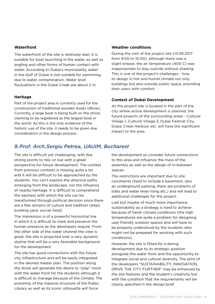### **Waterfront**

The waterfront of the site is relatively lean, it is suitable for boat launching in the water, as well as angling and other forms of human contact with water. According to Dubai's municipality, water in the Gulf of Dubai is not suitable for swimming due to water contamination. Water level fluctuations in the Dubai Creek are about 2 m.

#### **Heritage**

Part of the project area is currently used for the construction of traditional wooden boats (dhow). Currently, a large boat is being built on the shore, claiming to be registered as the largest boat in the world. As this is the only evidence of the historic use of the site, it needs to be given due consideration in the design process.

#### **Weather conditions**

During the visit of the project site (13.09.2017 from 9.00 to 10.00), although there was a slight breeze, the air temperature (400 C) was inappropriate to stay outside without shading. This is one of the project's challenges - how to design in hot and humid climate not only buildings but also outside public space, providing their users with comfort.

#### **Context of Dubai Development**

As the project site is located in the part of the city where active development is planned, the future projects of the surrounding areas - Cultural Village 1, Cultural Village 2, Dubai Festival City, Dubai Creek Harbour etc. will have the significant impact to the area.

# *9.Prof. Arch.Sergiu Petrea, UAUIM, Bucharest*

The site is difficult yet challenging, with few strong points to rely on but with a great perspective for future development. The context from previous contests is missing quite a lot and it will be difficult to be approached by the students. You can't explore the directive paths emerging from the landscape, nor the influence of nearby heritage. It is difficult to comprehend the easiness with which the site can be transformed through political decision since there are a few remains of culture and tradition (ships building yard, soccer field).

The impression is of a powerful horizontal line in which it is difficult to mark and preserve the human presence as the developers require. From the other side of the water channel the view is great, the site is projected over a very dynamic skyline that will be a very favorable background for the development.

The site has good connections with the future city infrastructure and will be easily integrated in the desired master plan. The position along the shore will generate the desire to "play" more with the water front for the students although it is difficult to manage because of the climate. The proximity of the massive structure of the Public Library as well as its iconic silhouette will force

the development so consider future connections to this area and influence the mass of the assembly as well as the design of in-between spaces.

The restrictions are important due to site constraints (hard to include a basement, also an underground parking, there are problems of tides and water level rising etc.) and will lead to additional challenges for the project.

Last but maybe of much more importance, sustainability as a strategy is hard to achieve because of harsh climate conditions (the high temperatures are quite a problem for designing user friendly outdoor spaces and will have to be properly understood by the students who might not be prepared for working with such conditions).

However, the site is fitted for a daring development due to its strategic position alongside the water front and the opportunity to integrate social and cultural diversity. The aims of the developers "SUSTAINABILITY, INNOVATION, DRIVE THE CITY FURTHER" may be enhanced by the site features and the student's creativity but with the condition that the requirements will be clearly specified in the design brief.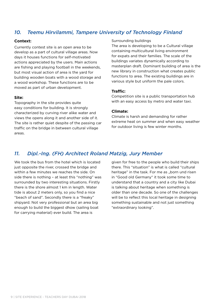# *10. Teemu Hirvilammi, Tampere University of Technology Finland*

#### **Context:**

Currently contest site is an open area to be develop as a part of cultural village areas. Now days it houses functions for self-motivated actions appreciated by the users. Main actions are fishing and playing football in the weekends, but most visual action of area is the yard for building wooden boats with a wood storage and a wood workshop. These functions are to be moved as part of urban development.

#### **Site:**

Topography in the site provides quite easy conditions for building. It is strongly characterized by curving river alike water and views the opens along it and another side of it. The site is rather quiet despite of the passing car traffic on the bridge in between cultural village areas.

#### Surrounding buildings

The area is developing to be a Cultural village containing multicultural living environment for expats and their families. The scale of the buildings variates dynamically according to masterplan draft. Dominant building of area is the new library in construction what creates public functions to area. The existing buildings are in various style but uniform the pale colors.

#### **Traffic:**

Competition site is a public transportation hub with an easy access by metro and water taxi.

#### **Climate:**

Climate is harsh and demanding for rather extreme heat on summer and when easy weather for outdoor living is few winter months.

## *11. Dipl.-Ing. (FH) Architect Roland Matzig, Jury Member*

We took the bus from the hotel which is located just opposite the river, crossed the bridge and within a few minutes we reaches the side. On side there is nothing – at least this "nothing" was surrounded by two interesting situations. Firstly there is the shore almost 1 km in length. Water tide is about 2 meters only, so you find a nice "beach of sand". Secondly there is a "freaky" shipyard. Not very professional but an area big enough to build the biggest dhow (sailing boat for carrying material) ever build. The area is

given for free to the people who build their ships there. This "situation" is what is called "cultural heritage" in the task. For me as "born und risen in "Good old Germany" it took some time to understand that a country and a city like Dubai is talking about heritage when something is older than one decade. So one of the challenges will be to reflect this local heritage in designing something sustainable and not just something "extraordinary looking".